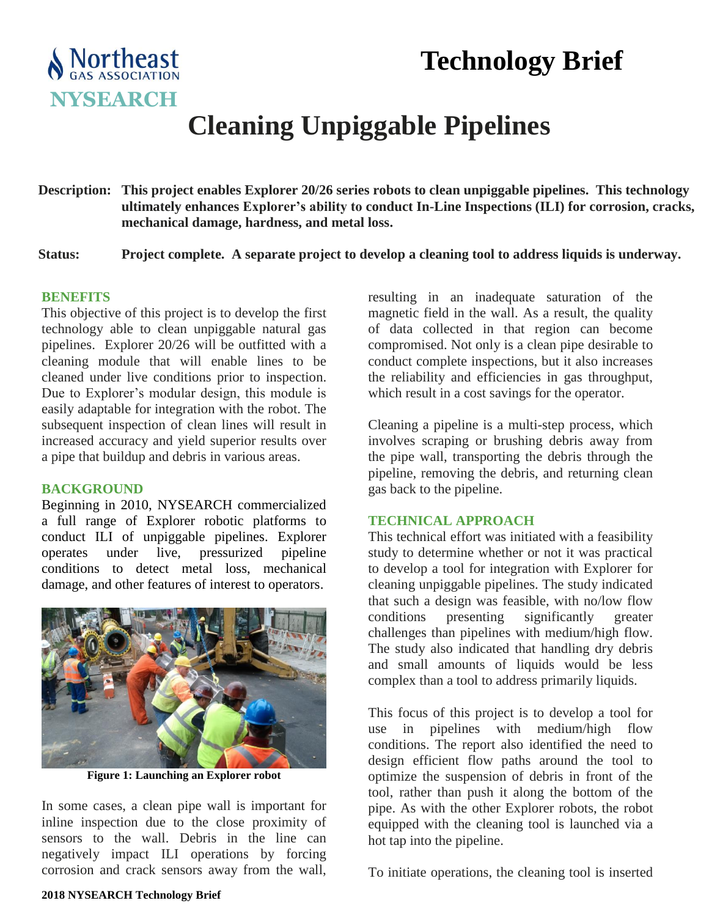# **Technology Brief**



## **Cleaning Unpiggable Pipelines**

**Description: This project enables Explorer 20/26 series robots to clean unpiggable pipelines. This technology ultimately enhances Explorer's ability to conduct In-Line Inspections (ILI) for corrosion, cracks, mechanical damage, hardness, and metal loss.**

**Status: Project complete. A separate project to develop a cleaning tool to address liquids is underway.**

#### **BENEFITS**

This objective of this project is to develop the first technology able to clean unpiggable natural gas pipelines. Explorer 20/26 will be outfitted with a cleaning module that will enable lines to be cleaned under live conditions prior to inspection. Due to Explorer's modular design, this module is easily adaptable for integration with the robot. The subsequent inspection of clean lines will result in increased accuracy and yield superior results over a pipe that buildup and debris in various areas.

#### **BACKGROUND**

Beginning in 2010, NYSEARCH commercialized a full range of Explorer robotic platforms to conduct ILI of unpiggable pipelines. Explorer operates under live, pressurized pipeline conditions to detect metal loss, mechanical damage, and other features of interest to operators.



**Figure 1: Launching an Explorer robot**

In some cases, a clean pipe wall is important for inline inspection due to the close proximity of sensors to the wall. Debris in the line can negatively impact ILI operations by forcing corrosion and crack sensors away from the wall,

resulting in an inadequate saturation of the magnetic field in the wall. As a result, the quality of data collected in that region can become compromised. Not only is a clean pipe desirable to conduct complete inspections, but it also increases the reliability and efficiencies in gas throughput, which result in a cost savings for the operator.

Cleaning a pipeline is a multi-step process, which involves scraping or brushing debris away from the pipe wall, transporting the debris through the pipeline, removing the debris, and returning clean gas back to the pipeline.

#### **TECHNICAL APPROACH**

This technical effort was initiated with a feasibility study to determine whether or not it was practical to develop a tool for integration with Explorer for cleaning unpiggable pipelines. The study indicated that such a design was feasible, with no/low flow conditions presenting significantly greater challenges than pipelines with medium/high flow. The study also indicated that handling dry debris and small amounts of liquids would be less complex than a tool to address primarily liquids.

This focus of this project is to develop a tool for use in pipelines with medium/high flow conditions. The report also identified the need to design efficient flow paths around the tool to optimize the suspension of debris in front of the tool, rather than push it along the bottom of the pipe. As with the other Explorer robots, the robot equipped with the cleaning tool is launched via a hot tap into the pipeline.

To initiate operations, the cleaning tool is inserted

#### **2018 NYSEARCH Technology Brief**